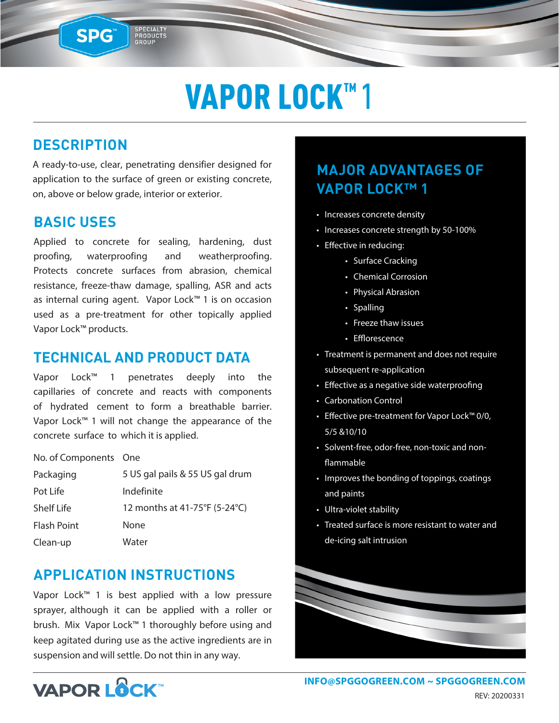# VAPOR LOCK™1

## **DESCRIPTION**

SPG™

A ready-to-use, clear, penetrating densifier designed for application to the surface of green or existing concrete, on, above or below grade, interior or exterior.

SPECIALTY<br>PRODUCTS<br>GROUP

### **BASIC USES**

Applied to concrete for sealing, hardening, dust proofing, waterproofing and weatherproofing. Protects concrete surfaces from abrasion, chemical resistance, freeze-thaw damage, spalling, ASR and acts as internal curing agent. Vapor Lock™ 1 is on occasion used as a pre-treatment for other topically applied Vapor Lock™ products.

#### **TECHNICAL AND PRODUCT DATA**

Vapor Lock™ 1 penetrates deeply into the capillaries of concrete and reacts with components of hydrated cement to form a breathable barrier. Vapor Lock™ 1 will not change the appearance of the concrete surface to which it is applied.

No. of Components One

| Packaging          | 5 US gal pails & 55 US gal drum |
|--------------------|---------------------------------|
| Pot Life           | Indefinite                      |
| <b>Shelf Life</b>  | 12 months at 41-75°F (5-24°C)   |
| <b>Flash Point</b> | None                            |
| Clean-up           | Water                           |

#### **APPLICATION INSTRUCTIONS**

Vapor Lock™ 1 is best applied with a low pressure sprayer, although it can be applied with a roller or brush. Mix Vapor Lock™ 1 thoroughly before using and keep agitated during use as the active ingredients are in suspension and will settle. Do not thin in any way.

# **MAJOR ADVANTAGES OF VAPOR LOCK™ 1**

- Increases concrete density
- Increases concrete strength by 50-100%
- Effective in reducing:
	- Surface Cracking
	- Chemical Corrosion
	- Physical Abrasion
	- Spalling
	- Freeze thaw issues
	- Efflorescence
- Treatment is permanent and does not require subsequent re-application
- Effective as a negative side waterproofing
- Carbonation Control
- Effective pre-treatment for Vapor Lock™ 0/0, 5/5 &10/10
- Solvent-free, odor-free, non-toxic and nonflammable
- Improves the bonding of toppings, coatings and paints
- Ultra-violet stability
- Treated surface is more resistant to water and de-icing salt intrusion



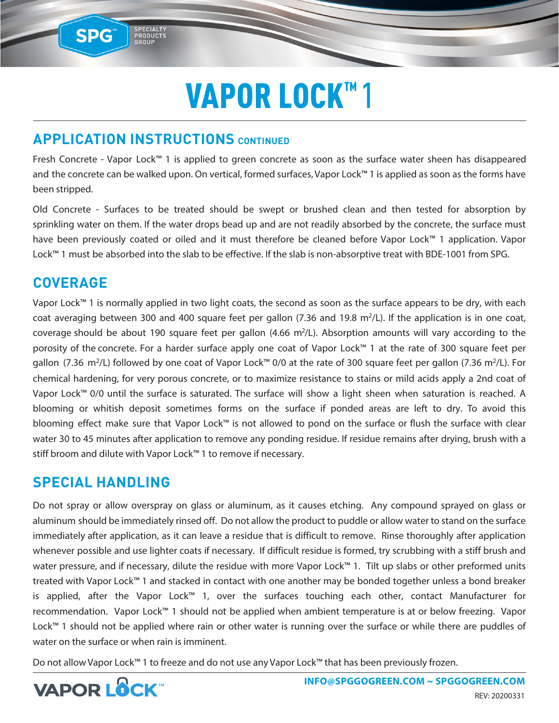# VAPOR LOCK™1

### **APPLICATION INSTRUCTIONS CONTINUED**

SPECIALTY<br>PRODUCTS<br>GROUP

Fresh Concrete - Vapor Lock™ 1 is applied to green concrete as soon as the surface water sheen has disappeared and the concrete can be walked upon. On vertical, formed surfaces, Vapor Lock™ 1 is applied as soon as the forms have been stripped.

Old Concrete - Surfaces to be treated should be swept or brushed clean and then tested for absorption by sprinkling water on them. If the water drops bead up and are not readily absorbed by the concrete, the surface must have been previously coated or oiled and it must therefore be cleaned before Vapor Lock™ 1 application. Vapor Lock™ 1 must be absorbed into the slab to be effective. If the slab is non-absorptive treat with BDE-1001 from SPG.

### **COVERAGE**

SPG™

Vapor Lock™ 1 is normally applied in two light coats, the second as soon as the surface appears to be dry, with each coat averaging between 300 and 400 square feet per gallon  $(7.36$  and 19.8 m<sup>2</sup>/L). If the application is in one coat, coverage should be about 190 square feet per gallon (4.66 m<sup>2</sup>/L). Absorption amounts will vary according to the porosity of the concrete. For a harder surface apply one coat of Vapor Lock™ 1 at the rate of 300 square feet per gallon (7.36 m<sup>2</sup>/L) followed by one coat of Vapor Lock™ 0/0 at the rate of 300 square feet per gallon (7.36 m<sup>2</sup>/L). For chemical hardening, for very porous concrete, or to maximize resistance to stains or mild acids apply a 2nd coat of Vapor Lock™ 0/0 until the surface is saturated. The surface will show a light sheen when saturation is reached. A blooming or whitish deposit sometimes forms on the surface if ponded areas are left to dry. To avoid this blooming effect make sure that Vapor Lock™ is not allowed to pond on the surface or flush the surface with clear water 30 to 45 minutes after application to remove any ponding residue. If residue remains after drying, brush with a stiff broom and dilute with Vapor Lock™ 1 to remove if necessary.

#### **SPECIAL HANDLING**

Do not spray or allow overspray on glass or aluminum, as it causes etching. Any compound sprayed on glass or aluminum should be immediately rinsed off. Do not allow the product to puddle or allow water to stand on the surface immediately after application, as it can leave a residue that is difficult to remove. Rinse thoroughly after application whenever possible and use lighter coats if necessary. If difficult residue is formed, try scrubbing with a stiff brush and water pressure, and if necessary, dilute the residue with more Vapor Lock™ 1. Tilt up slabs or other preformed units treated with Vapor Lock™ 1 and stacked in contact with one another may be bonded together unless a bond breaker is applied, after the Vapor Lock™ 1, over the surfaces touching each other, contact Manufacturer for recommendation. Vapor Lock™ 1 should not be applied when ambient temperature is at or below freezing. Vapor Lock™ 1 should not be applied where rain or other water is running over the surface or while there are puddles of water on the surface or when rain is imminent.

Do not allow Vapor Lock™ 1 to freeze and do not use any Vapor Lock™ that has been previously frozen.